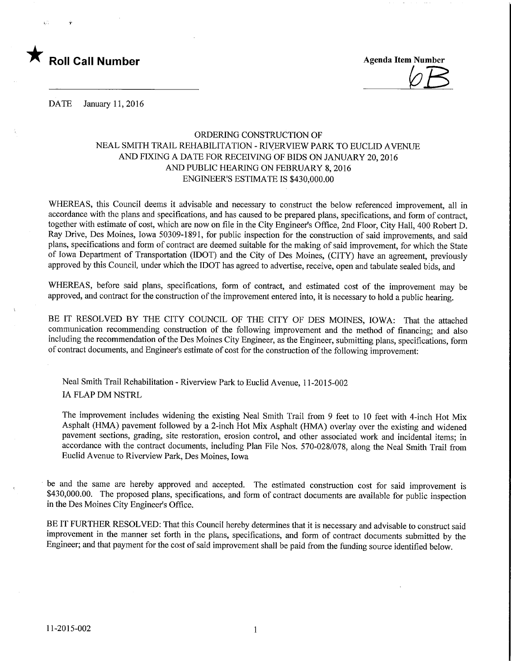

 $\varphi_I$ 

DATE January 11, 2016

## ORDERING CONSTRUCTION OF NEAL SMITH TRAIL REHABILITATION - RIVERVIEW PARK TO EUCLID AVENUE AND FIXING A DATE FOR RECEIVING OF BIDS ON JANUARY 20,2016 AND PUBLIC HEARING ON FEBRUARY 8,2016 ENGINEER'S ESTIMATE IS \$430,000.00

WHEREAS, this Council deems it advisable and necessary to construct the below referenced improvement, all in accordance with the plans and specifications, and has caused to be prepared plans, specifications, and form of contract, together with estimate of cost, which are now on file in the City Engineer's Office, 2nd Floor, City Hall, 400 Robert D. Ray Drive, Des Moines, Iowa 50309-1891, for public inspection for the construction of said improvements, and said plans, specifications and form of contract are deemed suitable for the making of said improvement, for which the State of Iowa Department of Transportation (IDOT) and the City of Des Moines, (CITY) have an agreement, previously approved by this Council, under which the IDOT has agreed to advertise, receive, open and tabulate sealed bids, and

WHEREAS, before said plans, specifications, form of contract, and estimated cost of the improvement may be approved, and contract for the construction of the improvement entered into, it is necessary to hold a public hearing.

BE IT RESOLVED BY THE CITY COUNCIL OF THE CITY OF DES MOINES, IOWA: That the attached communication recommending construction of the following improvement and the method of financing; and also including the recommendation of the Des Moines City Engineer, as the Engineer, submitting plans, specifications, form of contract documents, and Engineer's estimate of cost for the construction of the following improvement:

Neal Smith Trail Rehabilitation - Riverview Park to Euclid Avenue, 11-2015-002 IA FLAP DM NSTRL

The improvement includes widening the existing Neal Smith Trail from 9 feet to 10 feet with 4-inch Hot Mix Asphalt (HMA) pavement followed by a 2-inch Hot Mix Asphalt (HMA) overlay over the existing and widened pavement sections, grading, site restoration, erosion control, and other associated work and incidental items; in accordance with the contract documents, including Plan File Nos. 570-028/078, along the Neal Smith Trail from Euclid Avenue to Riverview Park, Des Moines, Iowa

be and the same are hereby approved and accepted. The estimated construction cost for said improvement is \$430,000.00. The proposed plans, specifications, and form of contract documents are available for public inspection in the Des Moines City Engineer's Office.

BE IT FURTHER RESOLVED: That this Council hereby determines that it is necessary and advisable to construct said improvement in the manner set forth in the plans, specifications, and form of contract documents submitted by the Engineer; and that payment for the cost of said improvement shall be paid from the funding source identified below.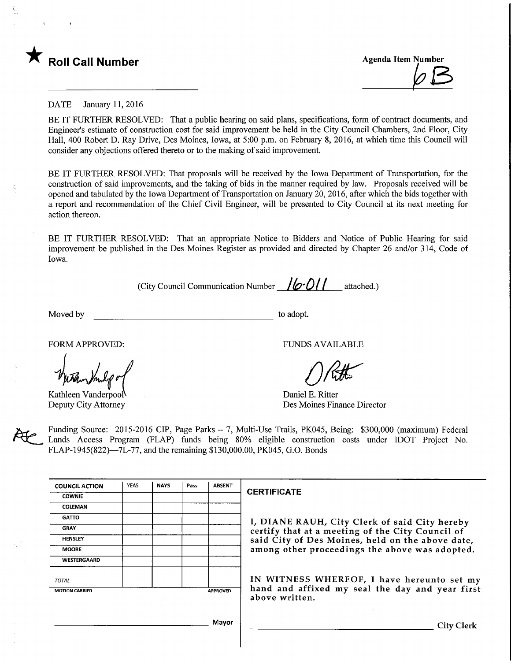

## DATE January 11, 2016

BE IT FURTHER RESOLVED: That a public hearing on said plans, specifications, form of contract documents, and Engineer's estimate of construction cost for said improvement be held in the City Council Chambers, 2nd Floor, City Hall, 400 Robert D. Ray Drive, Des Moines, Iowa, at 5:00 p.m. on February 8, 2016, at which time this Council will consider any objections offered thereto or to the making of said improvement.

BE IT FURTHER RESOLVED: That proposals will be received by the Iowa Department of Transportation, for the construction of said improvements, and the taking of bids in the manner required by law. Proposals received will be opened and tabulated by the Iowa Department of Transportation on January 20, 2016, after which the bids together with a report and recommendation of the Chief Civil Engineer, will be presented to City Council at its next meeting for action thereon.

BE IT FURTHER RESOLVED: That an appropriate Notice to Bidders and Notice of Public Hearing for said improvement be published in the Des Moines Register as provided and directed by Chapter 26 and/or 314, Code of Iowa.

(City Council Communication Number  $16 - 011$  attached.)

Moved by to adopt.

Kathleen Vanderpool Deputy City Attorney

FORM APPROVED: THE RESERVED OF THE RESERVED OF THE RESERVED OF THE RESERVED OF THE RESERVED OF THE RESERVED OF THE RESERVED OF THE RESERVED OF THE RESERVED OF THE RESERVED OF THE RESERVED OF THE RESERVED OF THE RESERVED OF

 $0$ Rtt

Daniel E. Ritter Des Moines Finance Director

Funding Source: 2015-2016 CIP, Page Parks - 7, Multi-Use Trails, PK045, Being: \$300,000 (maximum) Federal Lands Access Program (FLAP) funds being 80% eligible construction costs under IDOT Project No. FLAP-1945(822)—7L-77, and the remaining \$130,000.00, PK045, G.O. Bonds

| <b>COUNCIL ACTION</b> | <b>YEAS</b> | <b>NAYS</b> | Pass | <b>ABSENT</b>   |                                                                  |
|-----------------------|-------------|-------------|------|-----------------|------------------------------------------------------------------|
| <b>COWNIE</b>         |             |             |      |                 | <b>CERTIFICATE</b>                                               |
| <b>COLEMAN</b>        |             |             |      |                 |                                                                  |
| <b>GATTO</b>          |             |             |      |                 | I, DIANE RAUH, City Clerk of said City hereby                    |
| <b>GRAY</b>           |             |             |      |                 | certify that at a meeting of the City Council of                 |
| <b>HENSLEY</b>        |             |             |      |                 | said City of Des Moines, held on the above date,                 |
| <b>MOORE</b>          |             |             |      |                 | among other proceedings the above was adopted.                   |
| <b>WESTERGAARD</b>    |             |             |      |                 |                                                                  |
| <b>TOTAL</b>          |             |             |      |                 | IN WITNESS WHEREOF, I have hereunto set m                        |
| <b>MOTION CARRIED</b> |             |             |      | <b>APPROVED</b> | hand and affixed my seal the day and year firs<br>above written. |

WHEREOF, I have hereunto set my xed my seal the day and year first

Mayor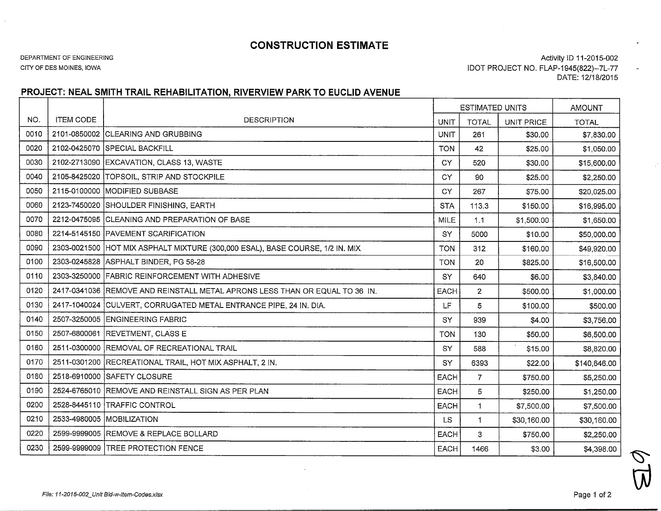## CONSTRUCTION ESTIMATE

DEPARTMENT OF ENGINEERING

CITY OF DES MOINES, IOWA

 $\sim$ 

Activity ID 11-2015-002 IDOT PROJECT NO. FLAP-1945(822)-7L-77DATE: 12/18/2015

## PROJECT: NEAL SMITH TRAIL REHABILITATION, RIVERVIEW PARK TO EUCLID AVENUE

|      |                  |                                                                  | ESTIMATED UNITS |                |                   | AMOUNT       |
|------|------------------|------------------------------------------------------------------|-----------------|----------------|-------------------|--------------|
| NO.  | <b>ITEM CODE</b> | <b>DESCRIPTION</b>                                               | <b>UNIT</b>     | <b>TOTAL</b>   | <b>UNIT PRICE</b> | <b>TOTAL</b> |
| 0010 | 2101-0850002     | <b>CLEARING AND GRUBBING</b>                                     | <b>UNIT</b>     | 261            | \$30.00           | \$7,830.00   |
| 0020 |                  | 2102-0425070 SPECIAL BACKFILL                                    | <b>TON</b>      | 42             | \$25.00           | \$1,050.00   |
| 0030 |                  | 2102-2713090 EXCAVATION, CLASS 13, WASTE                         | <b>CY</b>       | 520            | \$30.00           | \$15,600.00  |
| 0040 | 2105-8425020     | <b>TOPSOIL, STRIP AND STOCKPILE</b>                              | CY              | 90             | \$25.00           | \$2,250.00   |
| 0050 |                  | 2115-0100000   MODIFIED SUBBASE                                  | CY              | 267            | \$75.00           | \$20,025.00  |
| 0060 | 2123-7450020     | SHOULDER FINISHING, EARTH                                        | <b>STA</b>      | 113.3          | \$150.00          | \$16,995.00  |
| 0070 |                  | 2212-0475095 CLEANING AND PREPARATION OF BASE                    | <b>MILE</b>     | 1.1            | \$1,500.00        | \$1,650.00   |
| 0080 |                  | 2214-5145150 PAVEMENT SCARIFICATION                              | SY              | 5000           | \$10.00           | \$50,000.00  |
| 0090 | 2303-0021500     | HOT MIX ASPHALT MIXTURE (300,000 ESAL), BASE COURSE, 1/2 IN. MIX | <b>TON</b>      | 312            | \$160.00          | \$49,920.00  |
| 0100 | 2303-0245828     | ASPHALT BINDER, PG 58-28                                         | <b>TON</b>      | 20             | \$825.00          | \$16,500.00  |
| 0110 | 2303-3250000     | <b>FABRIC REINFORCEMENT WITH ADHESIVE</b>                        | SY              | 640            | \$6.00            | \$3,840.00   |
| 0120 | 2417-0341036     | REMOVE AND REINSTALL METAL APRONS LESS THAN OR EQUAL TO 36 IN.   | EACH            | $\overline{2}$ | \$500.00          | \$1,000.00   |
| 0130 | 2417-1040024     | CULVERT, CORRUGATED METAL ENTRANCE PIPE, 24 IN. DIA.             | LF.             | 5              | \$100.00          | \$500.00     |
| 0140 | 2507-3250005     | <b>ENGINEERING FABRIC</b>                                        | SY              | 939            | \$4.00            | \$3,756.00   |
| 0150 |                  | 2507-6800061 REVETMENT, CLASS E                                  | <b>TON</b>      | 130            | \$50.00           | \$6,500.00   |
| 0160 |                  | 2511-0300000 REMOVAL OF RECREATIONAL TRAIL                       | SY              | 588            | \$15.00           | \$8,820.00   |
| 0170 |                  | 2511-0301200 RECREATIONAL TRAIL, HOT MIX ASPHALT, 2 IN.          | SY              | 6393           | \$22.00           | \$140,646.00 |
| 0180 |                  | 2518-6910000 SAFETY CLOSURE                                      | <b>EACH</b>     | $\overline{7}$ | \$750.00          | \$5,250.00   |
| 0190 |                  | 2524-6765010 REMOVE AND REINSTALL SIGN AS PER PLAN               | <b>EACH</b>     | 5              | \$250.00          | \$1,250.00   |
| 0200 |                  | 2528-8445110 TRAFFIC CONTROL                                     | <b>EACH</b>     | $\mathbf{1}$   | \$7,500.00        | \$7,500.00   |
| 0210 |                  | 2533-4980005 MOBILIZATION                                        | <b>LS</b>       | $\mathbf{1}$   | \$30,160.00       | \$30,160.00  |
| 0220 |                  | 2599-9999005 REMOVE & REPLACE BOLLARD                            | <b>EACH</b>     | 3              | \$750.00          | \$2,250.00   |
| 0230 |                  | 2599-9999009 TREE PROTECTION FENCE                               | <b>EACH</b>     | 1466           | \$3.00            | \$4,398.00   |

 $\ddot{\phantom{a}}$